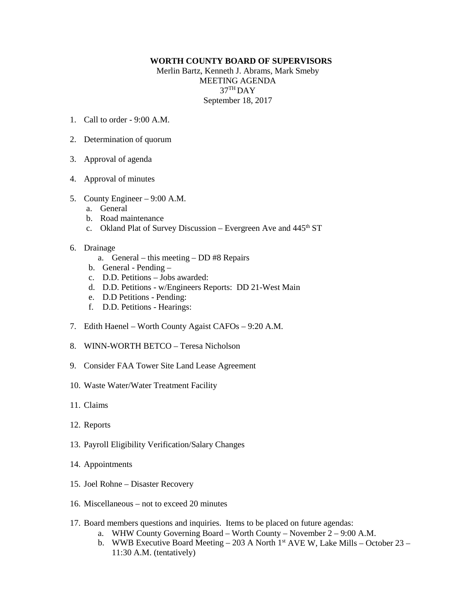## **WORTH COUNTY BOARD OF SUPERVISORS**

Merlin Bartz, Kenneth J. Abrams, Mark Smeby MEETING AGENDA 37TH DAY September 18, 2017

- 1. Call to order  $9.00 \text{ A M}$
- 2. Determination of quorum
- 3. Approval of agenda
- 4. Approval of minutes
- 5. County Engineer 9:00 A.M.
	- a. General
	- b. Road maintenance
	- c. Okland Plat of Survey Discussion Evergreen Ave and  $445<sup>th</sup> ST$
- 6. Drainage
	- a. General this meeting DD #8 Repairs
	- b. General Pending –
	- c. D.D. Petitions Jobs awarded:
	- d. D.D. Petitions w/Engineers Reports: DD 21-West Main
	- e. D.D Petitions Pending:
	- f. D.D. Petitions Hearings:
- 7. Edith Haenel Worth County Agaist CAFOs 9:20 A.M.
- 8. WINN-WORTH BETCO Teresa Nicholson
- 9. Consider FAA Tower Site Land Lease Agreement
- 10. Waste Water/Water Treatment Facility
- 11. Claims
- 12. Reports
- 13. Payroll Eligibility Verification/Salary Changes
- 14. Appointments
- 15. Joel Rohne Disaster Recovery
- 16. Miscellaneous not to exceed 20 minutes
- 17. Board members questions and inquiries. Items to be placed on future agendas:
	- a. WHW County Governing Board Worth County November 2 9:00 A.M.
	- b. WWB Executive Board Meeting 203 A North 1<sup>st</sup> AVE W, Lake Mills October 23 11:30 A.M. (tentatively)